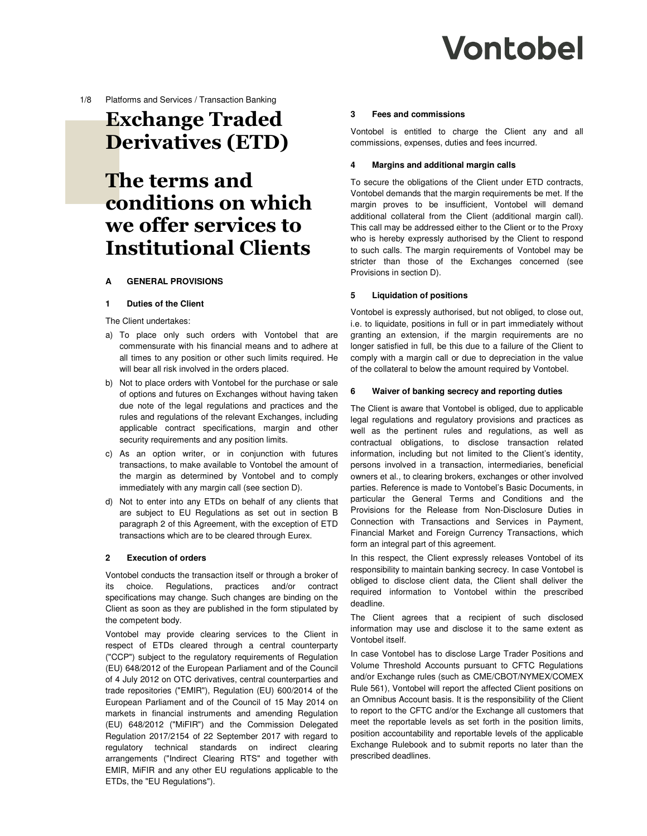**Vontobel** 

1/8 Platforms and Services / Transaction Banking

# **Exchange Traded Derivatives (ETD)**

# **The terms and conditions on which we offer services to Institutional Clients**

# **A GENERAL PROVISIONS**

#### **1 Duties of the Client**

The Client undertakes:

- a) To place only such orders with Vontobel that are commensurate with his financial means and to adhere at all times to any position or other such limits required. He will bear all risk involved in the orders placed.
- b) Not to place orders with Vontobel for the purchase or sale of options and futures on Exchanges without having taken due note of the legal regulations and practices and the rules and regulations of the relevant Exchanges, including applicable contract specifications, margin and other security requirements and any position limits.
- c) As an option writer, or in conjunction with futures transactions, to make available to Vontobel the amount of the margin as determined by Vontobel and to comply immediately with any margin call (see section D).
- d) Not to enter into any ETDs on behalf of any clients that are subject to EU Regulations as set out in section B paragraph 2 of this Agreement, with the exception of ETD transactions which are to be cleared through Eurex.

#### **2 Execution of orders**

Vontobel conducts the transaction itself or through a broker of its choice. Regulations, practices and/or contract specifications may change. Such changes are binding on the Client as soon as they are published in the form stipulated by the competent body.

Vontobel may provide clearing services to the Client in respect of ETDs cleared through a central counterparty ("CCP") subject to the regulatory requirements of Regulation (EU) 648/2012 of the European Parliament and of the Council of 4 July 2012 on OTC derivatives, central counterparties and trade repositories ("EMIR"), Regulation (EU) 600/2014 of the European Parliament and of the Council of 15 May 2014 on markets in financial instruments and amending Regulation (EU) 648/2012 ("MiFIR") and the Commission Delegated Regulation 2017/2154 of 22 September 2017 with regard to regulatory technical standards on indirect clearing arrangements ("Indirect Clearing RTS" and together with EMIR, MiFIR and any other EU regulations applicable to the ETDs, the "EU Regulations").

#### **3 Fees and commissions**

Vontobel is entitled to charge the Client any and all commissions, expenses, duties and fees incurred.

## **4 Margins and additional margin calls**

To secure the obligations of the Client under ETD contracts, Vontobel demands that the margin requirements be met. If the margin proves to be insufficient, Vontobel will demand additional collateral from the Client (additional margin call). This call may be addressed either to the Client or to the Proxy who is hereby expressly authorised by the Client to respond to such calls. The margin requirements of Vontobel may be stricter than those of the Exchanges concerned (see Provisions in section D).

## **5 Liquidation of positions**

Vontobel is expressly authorised, but not obliged, to close out, i.e. to liquidate, positions in full or in part immediately without granting an extension, if the margin requirements are no longer satisfied in full, be this due to a failure of the Client to comply with a margin call or due to depreciation in the value of the collateral to below the amount required by Vontobel.

#### **6 Waiver of banking secrecy and reporting duties**

The Client is aware that Vontobel is obliged, due to applicable legal regulations and regulatory provisions and practices as well as the pertinent rules and regulations, as well as contractual obligations, to disclose transaction related information, including but not limited to the Client's identity, persons involved in a transaction, intermediaries, beneficial owners et al., to clearing brokers, exchanges or other involved parties. Reference is made to Vontobel's Basic Documents, in particular the General Terms and Conditions and the Provisions for the Release from Non-Disclosure Duties in Connection with Transactions and Services in Payment, Financial Market and Foreign Currency Transactions, which form an integral part of this agreement.

In this respect, the Client expressly releases Vontobel of its responsibility to maintain banking secrecy. In case Vontobel is obliged to disclose client data, the Client shall deliver the required information to Vontobel within the prescribed deadline.

The Client agrees that a recipient of such disclosed information may use and disclose it to the same extent as Vontobel itself.

In case Vontobel has to disclose Large Trader Positions and Volume Threshold Accounts pursuant to CFTC Regulations and/or Exchange rules (such as CME/CBOT/NYMEX/COMEX Rule 561), Vontobel will report the affected Client positions on an Omnibus Account basis. It is the responsibility of the Client to report to the CFTC and/or the Exchange all customers that meet the reportable levels as set forth in the position limits, position accountability and reportable levels of the applicable Exchange Rulebook and to submit reports no later than the prescribed deadlines.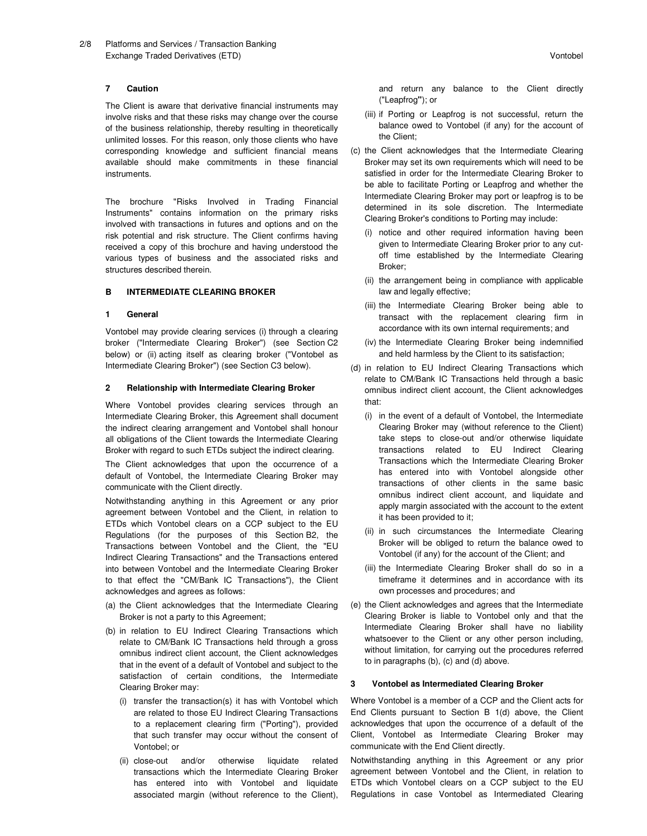#### **7 Caution**

The Client is aware that derivative financial instruments may involve risks and that these risks may change over the course of the business relationship, thereby resulting in theoretically unlimited losses. For this reason, only those clients who have corresponding knowledge and sufficient financial means available should make commitments in these financial instruments.

The brochure "Risks Involved in Trading Financial Instruments" contains information on the primary risks involved with transactions in futures and options and on the risk potential and risk structure. The Client confirms having received a copy of this brochure and having understood the various types of business and the associated risks and structures described therein.

## **B INTERMEDIATE CLEARING BROKER**

#### **1 General**

Vontobel may provide clearing services (i) through a clearing broker ("Intermediate Clearing Broker") (see Section C2 below) or (ii) acting itself as clearing broker ("Vontobel as Intermediate Clearing Broker") (see Section C3 below).

## **2 Relationship with Intermediate Clearing Broker**

Where Vontobel provides clearing services through an Intermediate Clearing Broker, this Agreement shall document the indirect clearing arrangement and Vontobel shall honour all obligations of the Client towards the Intermediate Clearing Broker with regard to such ETDs subject the indirect clearing.

The Client acknowledges that upon the occurrence of a default of Vontobel, the Intermediate Clearing Broker may communicate with the Client directly.

Notwithstanding anything in this Agreement or any prior agreement between Vontobel and the Client, in relation to ETDs which Vontobel clears on a CCP subject to the EU Regulations (for the purposes of this Section B2, the Transactions between Vontobel and the Client, the "EU Indirect Clearing Transactions" and the Transactions entered into between Vontobel and the Intermediate Clearing Broker to that effect the "CM/Bank IC Transactions"), the Client acknowledges and agrees as follows:

- (a) the Client acknowledges that the Intermediate Clearing Broker is not a party to this Agreement;
- (b) in relation to EU Indirect Clearing Transactions which relate to CM/Bank IC Transactions held through a gross omnibus indirect client account, the Client acknowledges that in the event of a default of Vontobel and subject to the satisfaction of certain conditions, the Intermediate Clearing Broker may:
	- (i) transfer the transaction(s) it has with Vontobel which are related to those EU Indirect Clearing Transactions to a replacement clearing firm ("Porting"), provided that such transfer may occur without the consent of Vontobel; or
	- (ii) close-out and/or otherwise liquidate related transactions which the Intermediate Clearing Broker has entered into with Vontobel and liquidate associated margin (without reference to the Client),

and return any balance to the Client directly ("Leapfrog**"**); or

- (iii) if Porting or Leapfrog is not successful, return the balance owed to Vontobel (if any) for the account of the Client;
- (c) the Client acknowledges that the Intermediate Clearing Broker may set its own requirements which will need to be satisfied in order for the Intermediate Clearing Broker to be able to facilitate Porting or Leapfrog and whether the Intermediate Clearing Broker may port or leapfrog is to be determined in its sole discretion. The Intermediate Clearing Broker's conditions to Porting may include:
	- (i) notice and other required information having been given to Intermediate Clearing Broker prior to any cutoff time established by the Intermediate Clearing Broker;
	- (ii) the arrangement being in compliance with applicable law and legally effective;
	- (iii) the Intermediate Clearing Broker being able to transact with the replacement clearing firm in accordance with its own internal requirements; and
	- (iv) the Intermediate Clearing Broker being indemnified and held harmless by the Client to its satisfaction;
- (d) in relation to EU Indirect Clearing Transactions which relate to CM/Bank IC Transactions held through a basic omnibus indirect client account, the Client acknowledges that:
	- (i) in the event of a default of Vontobel, the Intermediate Clearing Broker may (without reference to the Client) take steps to close-out and/or otherwise liquidate transactions related to EU Indirect Clearing Transactions which the Intermediate Clearing Broker has entered into with Vontobel alongside other transactions of other clients in the same basic omnibus indirect client account, and liquidate and apply margin associated with the account to the extent it has been provided to it;
	- (ii) in such circumstances the Intermediate Clearing Broker will be obliged to return the balance owed to Vontobel (if any) for the account of the Client; and
	- (iii) the Intermediate Clearing Broker shall do so in a timeframe it determines and in accordance with its own processes and procedures; and
- (e) the Client acknowledges and agrees that the Intermediate Clearing Broker is liable to Vontobel only and that the Intermediate Clearing Broker shall have no liability whatsoever to the Client or any other person including, without limitation, for carrying out the procedures referred to in paragraphs (b), (c) and (d) above.

#### **3 Vontobel as Intermediated Clearing Broker**

Where Vontobel is a member of a CCP and the Client acts for End Clients pursuant to Section B 1(d) above, the Client acknowledges that upon the occurrence of a default of the Client, Vontobel as Intermediate Clearing Broker may communicate with the End Client directly.

Notwithstanding anything in this Agreement or any prior agreement between Vontobel and the Client, in relation to ETDs which Vontobel clears on a CCP subject to the EU Regulations in case Vontobel as Intermediated Clearing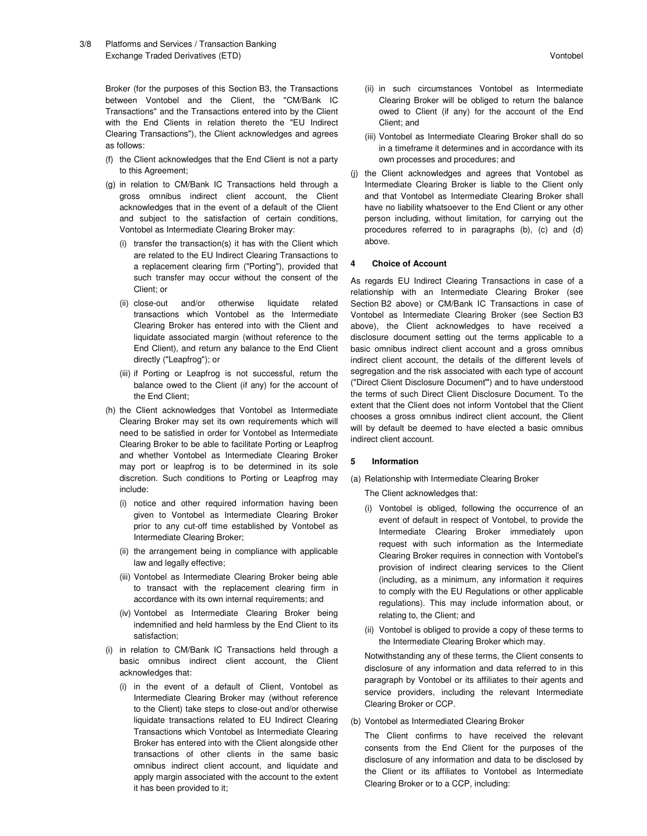Broker (for the purposes of this Section B3, the Transactions between Vontobel and the Client, the "CM/Bank IC Transactions" and the Transactions entered into by the Client with the End Clients in relation thereto the "EU Indirect Clearing Transactions"), the Client acknowledges and agrees as follows:

- (f) the Client acknowledges that the End Client is not a party to this Agreement;
- (g) in relation to CM/Bank IC Transactions held through a gross omnibus indirect client account, the Client acknowledges that in the event of a default of the Client and subject to the satisfaction of certain conditions, Vontobel as Intermediate Clearing Broker may:
	- (i) transfer the transaction(s) it has with the Client which are related to the EU Indirect Clearing Transactions to a replacement clearing firm ("Porting"), provided that such transfer may occur without the consent of the Client; or
	- (ii) close-out and/or otherwise liquidate related transactions which Vontobel as the Intermediate Clearing Broker has entered into with the Client and liquidate associated margin (without reference to the End Client), and return any balance to the End Client directly ("Leapfrog"); or
	- (iii) if Porting or Leapfrog is not successful, return the balance owed to the Client (if any) for the account of the End Client;
- (h) the Client acknowledges that Vontobel as Intermediate Clearing Broker may set its own requirements which will need to be satisfied in order for Vontobel as Intermediate Clearing Broker to be able to facilitate Porting or Leapfrog and whether Vontobel as Intermediate Clearing Broker may port or leapfrog is to be determined in its sole discretion. Such conditions to Porting or Leapfrog may include:
	- (i) notice and other required information having been given to Vontobel as Intermediate Clearing Broker prior to any cut-off time established by Vontobel as Intermediate Clearing Broker;
	- (ii) the arrangement being in compliance with applicable law and legally effective;
	- (iii) Vontobel as Intermediate Clearing Broker being able to transact with the replacement clearing firm in accordance with its own internal requirements; and
	- (iv) Vontobel as Intermediate Clearing Broker being indemnified and held harmless by the End Client to its satisfaction;
- (i) in relation to CM/Bank IC Transactions held through a basic omnibus indirect client account, the Client acknowledges that:
	- (i) in the event of a default of Client, Vontobel as Intermediate Clearing Broker may (without reference to the Client) take steps to close-out and/or otherwise liquidate transactions related to EU Indirect Clearing Transactions which Vontobel as Intermediate Clearing Broker has entered into with the Client alongside other transactions of other clients in the same basic omnibus indirect client account, and liquidate and apply margin associated with the account to the extent it has been provided to it;
- (ii) in such circumstances Vontobel as Intermediate Clearing Broker will be obliged to return the balance owed to Client (if any) for the account of the End Client; and
- (iii) Vontobel as Intermediate Clearing Broker shall do so in a timeframe it determines and in accordance with its own processes and procedures; and
- (j) the Client acknowledges and agrees that Vontobel as Intermediate Clearing Broker is liable to the Client only and that Vontobel as Intermediate Clearing Broker shall have no liability whatsoever to the End Client or any other person including, without limitation, for carrying out the procedures referred to in paragraphs (b), (c) and (d) above.

#### **4 Choice of Account**

As regards EU Indirect Clearing Transactions in case of a relationship with an Intermediate Clearing Broker (see Section B2 above) or CM/Bank IC Transactions in case of Vontobel as Intermediate Clearing Broker (see Section B3 above), the Client acknowledges to have received a disclosure document setting out the terms applicable to a basic omnibus indirect client account and a gross omnibus indirect client account, the details of the different levels of segregation and the risk associated with each type of account ("Direct Client Disclosure Document**"**) and to have understood the terms of such Direct Client Disclosure Document. To the extent that the Client does not inform Vontobel that the Client chooses a gross omnibus indirect client account, the Client will by default be deemed to have elected a basic omnibus indirect client account.

#### **5 Information**

(a) Relationship with Intermediate Clearing Broker

The Client acknowledges that:

- (i) Vontobel is obliged, following the occurrence of an event of default in respect of Vontobel, to provide the Intermediate Clearing Broker immediately upon request with such information as the Intermediate Clearing Broker requires in connection with Vontobel's provision of indirect clearing services to the Client (including, as a minimum, any information it requires to comply with the EU Regulations or other applicable regulations). This may include information about, or relating to, the Client; and
- (ii) Vontobel is obliged to provide a copy of these terms to the Intermediate Clearing Broker which may.

Notwithstanding any of these terms, the Client consents to disclosure of any information and data referred to in this paragraph by Vontobel or its affiliates to their agents and service providers, including the relevant Intermediate Clearing Broker or CCP.

(b) Vontobel as Intermediated Clearing Broker

The Client confirms to have received the relevant consents from the End Client for the purposes of the disclosure of any information and data to be disclosed by the Client or its affiliates to Vontobel as Intermediate Clearing Broker or to a CCP, including: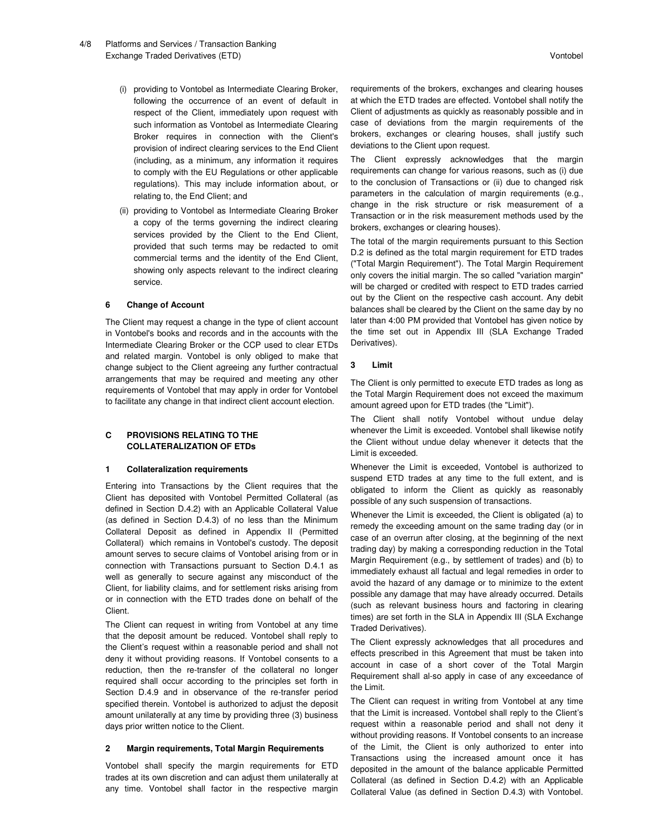- (i) providing to Vontobel as Intermediate Clearing Broker, following the occurrence of an event of default in respect of the Client, immediately upon request with such information as Vontobel as Intermediate Clearing Broker requires in connection with the Client's provision of indirect clearing services to the End Client (including, as a minimum, any information it requires to comply with the EU Regulations or other applicable regulations). This may include information about, or relating to, the End Client; and
- (ii) providing to Vontobel as Intermediate Clearing Broker a copy of the terms governing the indirect clearing services provided by the Client to the End Client, provided that such terms may be redacted to omit commercial terms and the identity of the End Client, showing only aspects relevant to the indirect clearing service.

#### **6 Change of Account**

The Client may request a change in the type of client account in Vontobel's books and records and in the accounts with the Intermediate Clearing Broker or the CCP used to clear ETDs and related margin. Vontobel is only obliged to make that change subject to the Client agreeing any further contractual arrangements that may be required and meeting any other requirements of Vontobel that may apply in order for Vontobel to facilitate any change in that indirect client account election.

## **C PROVISIONS RELATING TO THE COLLATERALIZATION OF ETDs**

### **1 Collateralization requirements**

Entering into Transactions by the Client requires that the Client has deposited with Vontobel Permitted Collateral (as defined in Section D.4.2) with an Applicable Collateral Value (as defined in Section D.4.3) of no less than the Minimum Collateral Deposit as defined in Appendix II (Permitted Collateral) which remains in Vontobel's custody. The deposit amount serves to secure claims of Vontobel arising from or in connection with Transactions pursuant to Section D.4.1 as well as generally to secure against any misconduct of the Client, for liability claims, and for settlement risks arising from or in connection with the ETD trades done on behalf of the Client.

The Client can request in writing from Vontobel at any time that the deposit amount be reduced. Vontobel shall reply to the Client's request within a reasonable period and shall not deny it without providing reasons. If Vontobel consents to a reduction, then the re-transfer of the collateral no longer required shall occur according to the principles set forth in Section D.4.9 and in observance of the re-transfer period specified therein. Vontobel is authorized to adjust the deposit amount unilaterally at any time by providing three (3) business days prior written notice to the Client.

#### **2 Margin requirements, Total Margin Requirements**

Vontobel shall specify the margin requirements for ETD trades at its own discretion and can adjust them unilaterally at any time. Vontobel shall factor in the respective margin

requirements of the brokers, exchanges and clearing houses at which the ETD trades are effected. Vontobel shall notify the Client of adjustments as quickly as reasonably possible and in case of deviations from the margin requirements of the brokers, exchanges or clearing houses, shall justify such deviations to the Client upon request.

The Client expressly acknowledges that the margin requirements can change for various reasons, such as (i) due to the conclusion of Transactions or (ii) due to changed risk parameters in the calculation of margin requirements (e.g., change in the risk structure or risk measurement of a Transaction or in the risk measurement methods used by the brokers, exchanges or clearing houses).

The total of the margin requirements pursuant to this Section D.2 is defined as the total margin requirement for ETD trades ("Total Margin Requirement"). The Total Margin Requirement only covers the initial margin. The so called "variation margin" will be charged or credited with respect to ETD trades carried out by the Client on the respective cash account. Any debit balances shall be cleared by the Client on the same day by no later than 4:00 PM provided that Vontobel has given notice by the time set out in Appendix III (SLA Exchange Traded Derivatives).

## **3 Limit**

The Client is only permitted to execute ETD trades as long as the Total Margin Requirement does not exceed the maximum amount agreed upon for ETD trades (the "Limit").

The Client shall notify Vontobel without undue delay whenever the Limit is exceeded. Vontobel shall likewise notify the Client without undue delay whenever it detects that the Limit is exceeded.

Whenever the Limit is exceeded, Vontobel is authorized to suspend ETD trades at any time to the full extent, and is obligated to inform the Client as quickly as reasonably possible of any such suspension of transactions.

Whenever the Limit is exceeded, the Client is obligated (a) to remedy the exceeding amount on the same trading day (or in case of an overrun after closing, at the beginning of the next trading day) by making a corresponding reduction in the Total Margin Requirement (e.g., by settlement of trades) and (b) to immediately exhaust all factual and legal remedies in order to avoid the hazard of any damage or to minimize to the extent possible any damage that may have already occurred. Details (such as relevant business hours and factoring in clearing times) are set forth in the SLA in Appendix III (SLA Exchange Traded Derivatives).

The Client expressly acknowledges that all procedures and effects prescribed in this Agreement that must be taken into account in case of a short cover of the Total Margin Requirement shall al-so apply in case of any exceedance of the Limit.

The Client can request in writing from Vontobel at any time that the Limit is increased. Vontobel shall reply to the Client's request within a reasonable period and shall not deny it without providing reasons. If Vontobel consents to an increase of the Limit, the Client is only authorized to enter into Transactions using the increased amount once it has deposited in the amount of the balance applicable Permitted Collateral (as defined in Section D.4.2) with an Applicable Collateral Value (as defined in Section D.4.3) with Vontobel.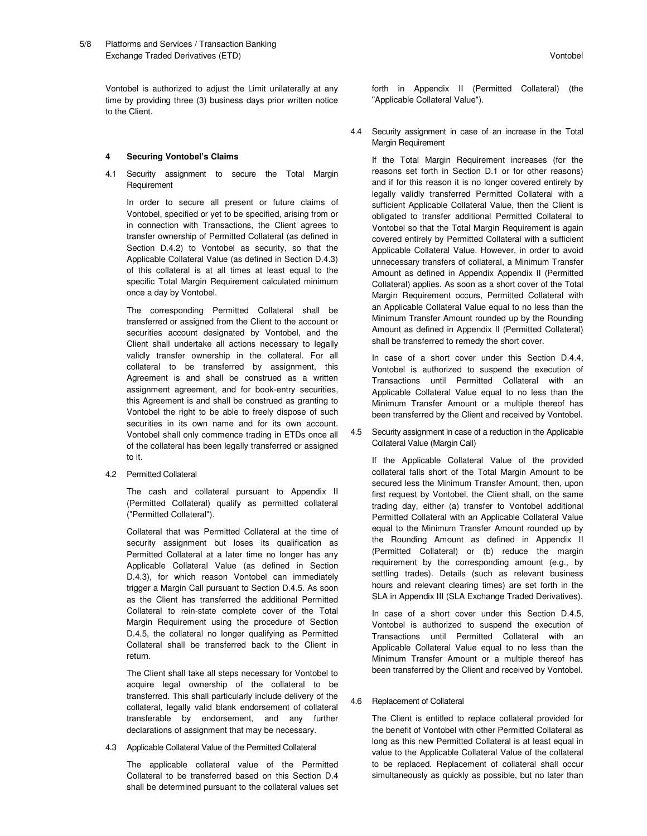Vontobel is authorized to adjust the Limit unilaterally at any time by providing three (3) business days prior written notice to the Client.

## **4 Securing Vontobel's Claims**

4.1 Security assignment to secure the Total Margin Requirement

In order to secure all present or future claims of Vontobel, specified or yet to be specified, arising from or in connection with Transactions, the Client agrees to transfer ownership of Permitted Collateral (as defined in Section D.4.2) to Vontobel as security, so that the Applicable Collateral Value (as defined in Section D.4.3) of this collateral is at all times at least equal to the specific Total Margin Requirement calculated minimum once a day by Vontobel.

The corresponding Permitted Collateral shall be transferred or assigned from the Client to the account or securities account designated by Vontobel, and the Client shall undertake all actions necessary to legally validly transfer ownership in the collateral. For all collateral to be transferred by assignment, this Agreement is and shall be construed as a written assignment agreement, and for book-entry securities, this Agreement is and shall be construed as granting to Vontobel the right to be able to freely dispose of such securities in its own name and for its own account. Vontobel shall only commence trading in ETDs once all of the collateral has been legally transferred or assigned to it.

4.2 Permitted Collateral

The cash and collateral pursuant to Appendix II (Permitted Collateral) qualify as permitted collateral ("Permitted Collateral").

Collateral that was Permitted Collateral at the time of security assignment but loses its qualification as Permitted Collateral at a later time no longer has any Applicable Collateral Value (as defined in Section D.4.3), for which reason Vontobel can immediately trigger a Margin Call pursuant to Section D.4.5. As soon as the Client has transferred the additional Permitted Collateral to rein-state complete cover of the Total Margin Requirement using the procedure of Section D.4.5, the collateral no longer qualifying as Permitted Collateral shall be transferred back to the Client in return.

The Client shall take all steps necessary for Vontobel to acquire legal ownership of the collateral to be transferred. This shall particularly include delivery of the collateral, legally valid blank endorsement of collateral transferable by endorsement, and any further declarations of assignment that may be necessary.

4.3 Applicable Collateral Value of the Permitted Collateral

The applicable collateral value of the Permitted Collateral to be transferred based on this Section D.4 shall be determined pursuant to the collateral values set

forth in Appendix II (Permitted Collateral) (the "Applicable Collateral Value").

4.4 Security assignment in case of an increase in the Total Margin Requirement

If the Total Margin Requirement increases (for the reasons set forth in Section D.1 or for other reasons) and if for this reason it is no longer covered entirely by legally validly transferred Permitted Collateral with a sufficient Applicable Collateral Value, then the Client is obligated to transfer additional Permitted Collateral to Vontobel so that the Total Margin Requirement is again covered entirely by Permitted Collateral with a sufficient Applicable Collateral Value. However, in order to avoid unnecessary transfers of collateral, a Minimum Transfer Amount as defined in Appendix Appendix II (Permitted Collateral) applies. As soon as a short cover of the Total Margin Requirement occurs, Permitted Collateral with an Applicable Collateral Value equal to no less than the Minimum Transfer Amount rounded up by the Rounding Amount as defined in Appendix II (Permitted Collateral) shall be transferred to remedy the short cover.

In case of a short cover under this Section D.4.4, Vontobel is authorized to suspend the execution of Transactions until Permitted Collateral with an Applicable Collateral Value equal to no less than the Minimum Transfer Amount or a multiple thereof has been transferred by the Client and received by Vontobel.

4.5 Security assignment in case of a reduction in the Applicable Collateral Value (Margin Call)

If the Applicable Collateral Value of the provided collateral falls short of the Total Margin Amount to be secured less the Minimum Transfer Amount, then, upon first request by Vontobel, the Client shall, on the same trading day, either (a) transfer to Vontobel additional Permitted Collateral with an Applicable Collateral Value equal to the Minimum Transfer Amount rounded up by the Rounding Amount as defined in Appendix II (Permitted Collateral) or (b) reduce the margin requirement by the corresponding amount (e.g., by settling trades). Details (such as relevant business hours and relevant clearing times) are set forth in the SLA in Appendix III (SLA Exchange Traded Derivatives).

In case of a short cover under this Section D.4.5, Vontobel is authorized to suspend the execution of Transactions until Permitted Collateral with an Applicable Collateral Value equal to no less than the Minimum Transfer Amount or a multiple thereof has been transferred by the Client and received by Vontobel.

#### 4.6 Replacement of Collateral

The Client is entitled to replace collateral provided for the benefit of Vontobel with other Permitted Collateral as long as this new Permitted Collateral is at least equal in value to the Applicable Collateral Value of the collateral to be replaced. Replacement of collateral shall occur simultaneously as quickly as possible, but no later than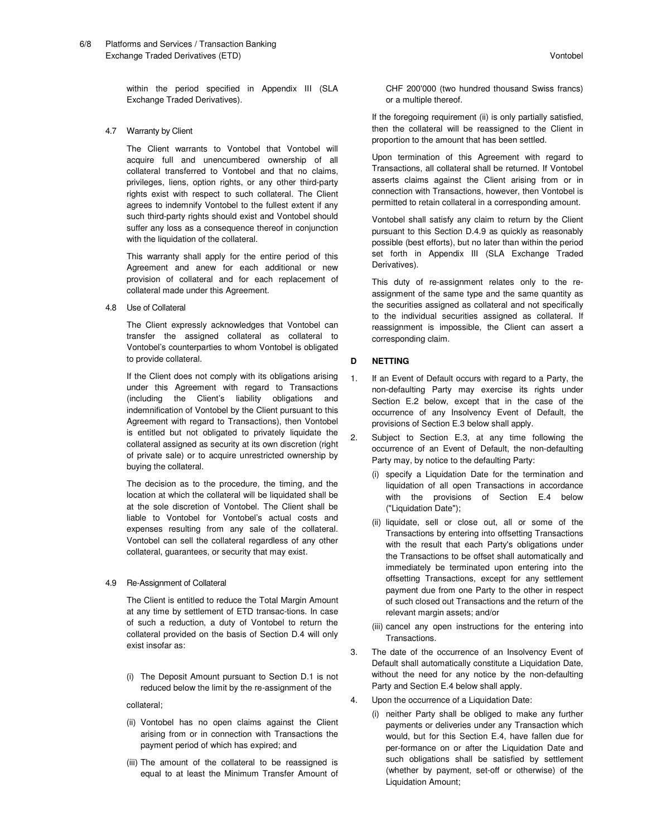within the period specified in Appendix III (SLA Exchange Traded Derivatives).

4.7 Warranty by Client

The Client warrants to Vontobel that Vontobel will acquire full and unencumbered ownership of all collateral transferred to Vontobel and that no claims, privileges, liens, option rights, or any other third-party rights exist with respect to such collateral. The Client agrees to indemnify Vontobel to the fullest extent if any such third-party rights should exist and Vontobel should suffer any loss as a consequence thereof in conjunction with the liquidation of the collateral.

This warranty shall apply for the entire period of this Agreement and anew for each additional or new provision of collateral and for each replacement of collateral made under this Agreement.

4.8 Use of Collateral

The Client expressly acknowledges that Vontobel can transfer the assigned collateral as collateral to Vontobel's counterparties to whom Vontobel is obligated to provide collateral.

If the Client does not comply with its obligations arising under this Agreement with regard to Transactions (including the Client's liability obligations and indemnification of Vontobel by the Client pursuant to this Agreement with regard to Transactions), then Vontobel is entitled but not obligated to privately liquidate the collateral assigned as security at its own discretion (right of private sale) or to acquire unrestricted ownership by buying the collateral.

The decision as to the procedure, the timing, and the location at which the collateral will be liquidated shall be at the sole discretion of Vontobel. The Client shall be liable to Vontobel for Vontobel's actual costs and expenses resulting from any sale of the collateral. Vontobel can sell the collateral regardless of any other collateral, guarantees, or security that may exist.

#### 4.9 Re-Assignment of Collateral

The Client is entitled to reduce the Total Margin Amount at any time by settlement of ETD transac-tions. In case of such a reduction, a duty of Vontobel to return the collateral provided on the basis of Section D.4 will only exist insofar as:

(i) The Deposit Amount pursuant to Section D.1 is not reduced below the limit by the re-assignment of the

#### collateral;

- (ii) Vontobel has no open claims against the Client arising from or in connection with Transactions the payment period of which has expired; and
- (iii) The amount of the collateral to be reassigned is equal to at least the Minimum Transfer Amount of

CHF 200'000 (two hundred thousand Swiss francs) or a multiple thereof.

If the foregoing requirement (ii) is only partially satisfied, then the collateral will be reassigned to the Client in proportion to the amount that has been settled.

Upon termination of this Agreement with regard to Transactions, all collateral shall be returned. If Vontobel asserts claims against the Client arising from or in connection with Transactions, however, then Vontobel is permitted to retain collateral in a corresponding amount.

Vontobel shall satisfy any claim to return by the Client pursuant to this Section D.4.9 as quickly as reasonably possible (best efforts), but no later than within the period set forth in Appendix III (SLA Exchange Traded Derivatives).

This duty of re-assignment relates only to the reassignment of the same type and the same quantity as the securities assigned as collateral and not specifically to the individual securities assigned as collateral. If reassignment is impossible, the Client can assert a corresponding claim.

#### **D NETTING**

- 1. If an Event of Default occurs with regard to a Party, the non-defaulting Party may exercise its rights under Section E.2 below, except that in the case of the occurrence of any Insolvency Event of Default, the provisions of Section E.3 below shall apply.
- 2. Subject to Section E.3, at any time following the occurrence of an Event of Default, the non-defaulting Party may, by notice to the defaulting Party:
	- (i) specify a Liquidation Date for the termination and liquidation of all open Transactions in accordance with the provisions of Section E.4 below ("Liquidation Date");
	- (ii) liquidate, sell or close out, all or some of the Transactions by entering into offsetting Transactions with the result that each Party's obligations under the Transactions to be offset shall automatically and immediately be terminated upon entering into the offsetting Transactions, except for any settlement payment due from one Party to the other in respect of such closed out Transactions and the return of the relevant margin assets; and/or
	- (iii) cancel any open instructions for the entering into Transactions.
- 3. The date of the occurrence of an Insolvency Event of Default shall automatically constitute a Liquidation Date, without the need for any notice by the non-defaulting Party and Section E.4 below shall apply.
- 4. Upon the occurrence of a Liquidation Date:
	- (i) neither Party shall be obliged to make any further payments or deliveries under any Transaction which would, but for this Section E.4, have fallen due for per-formance on or after the Liquidation Date and such obligations shall be satisfied by settlement (whether by payment, set-off or otherwise) of the Liquidation Amount;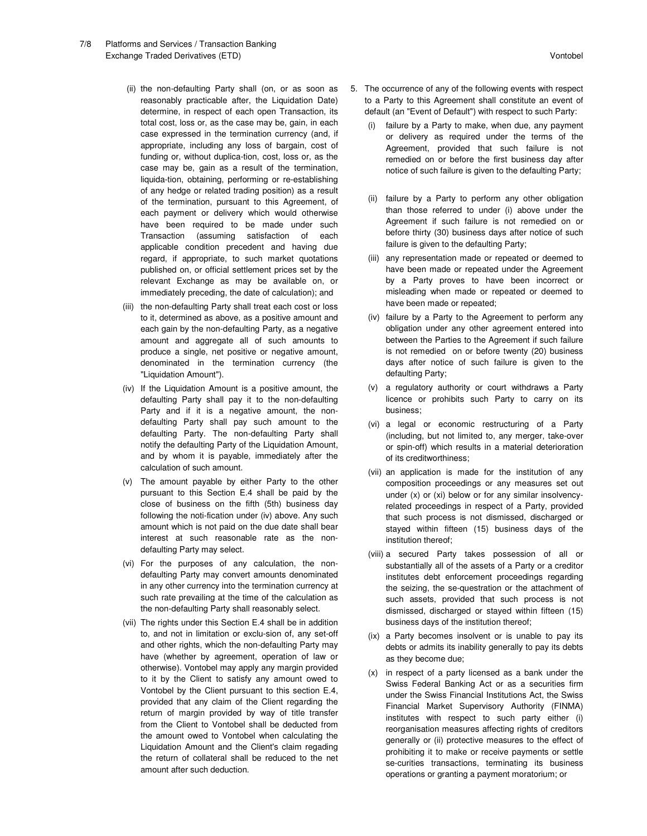- 7/8 Platforms and Services / Transaction Banking Exchange Traded Derivatives (ETD) Vontobel
	- (ii) the non-defaulting Party shall (on, or as soon as reasonably practicable after, the Liquidation Date) determine, in respect of each open Transaction, its total cost, loss or, as the case may be, gain, in each case expressed in the termination currency (and, if appropriate, including any loss of bargain, cost of funding or, without duplica-tion, cost, loss or, as the case may be, gain as a result of the termination, liquida-tion, obtaining, performing or re-establishing of any hedge or related trading position) as a result of the termination, pursuant to this Agreement, of each payment or delivery which would otherwise have been required to be made under such Transaction (assuming satisfaction of each applicable condition precedent and having due regard, if appropriate, to such market quotations published on, or official settlement prices set by the relevant Exchange as may be available on, or immediately preceding, the date of calculation); and
	- (iii) the non-defaulting Party shall treat each cost or loss to it, determined as above, as a positive amount and each gain by the non-defaulting Party, as a negative amount and aggregate all of such amounts to produce a single, net positive or negative amount, denominated in the termination currency (the "Liquidation Amount").
	- (iv) If the Liquidation Amount is a positive amount, the defaulting Party shall pay it to the non-defaulting Party and if it is a negative amount, the nondefaulting Party shall pay such amount to the defaulting Party. The non-defaulting Party shall notify the defaulting Party of the Liquidation Amount, and by whom it is payable, immediately after the calculation of such amount.
	- (v) The amount payable by either Party to the other pursuant to this Section E.4 shall be paid by the close of business on the fifth (5th) business day following the noti-fication under (iv) above. Any such amount which is not paid on the due date shall bear interest at such reasonable rate as the nondefaulting Party may select.
	- (vi) For the purposes of any calculation, the nondefaulting Party may convert amounts denominated in any other currency into the termination currency at such rate prevailing at the time of the calculation as the non-defaulting Party shall reasonably select.
	- (vii) The rights under this Section E.4 shall be in addition to, and not in limitation or exclu-sion of, any set-off and other rights, which the non-defaulting Party may have (whether by agreement, operation of law or otherwise). Vontobel may apply any margin provided to it by the Client to satisfy any amount owed to Vontobel by the Client pursuant to this section E.4, provided that any claim of the Client regarding the return of margin provided by way of title transfer from the Client to Vontobel shall be deducted from the amount owed to Vontobel when calculating the Liquidation Amount and the Client's claim regading the return of collateral shall be reduced to the net amount after such deduction.
- 5. The occurrence of any of the following events with respect to a Party to this Agreement shall constitute an event of default (an "Event of Default") with respect to such Party:
	- (i) failure by a Party to make, when due, any payment or delivery as required under the terms of the Agreement, provided that such failure is not remedied on or before the first business day after notice of such failure is given to the defaulting Party;
	- (ii) failure by a Party to perform any other obligation than those referred to under (i) above under the Agreement if such failure is not remedied on or before thirty (30) business days after notice of such failure is given to the defaulting Party;
	- (iii) any representation made or repeated or deemed to have been made or repeated under the Agreement by a Party proves to have been incorrect or misleading when made or repeated or deemed to have been made or repeated;
	- (iv) failure by a Party to the Agreement to perform any obligation under any other agreement entered into between the Parties to the Agreement if such failure is not remedied on or before twenty (20) business days after notice of such failure is given to the defaulting Party;
	- (v) a regulatory authority or court withdraws a Party licence or prohibits such Party to carry on its business;
	- (vi) a legal or economic restructuring of a Party (including, but not limited to, any merger, take-over or spin-off) which results in a material deterioration of its creditworthiness;
	- (vii) an application is made for the institution of any composition proceedings or any measures set out under (x) or (xi) below or for any similar insolvencyrelated proceedings in respect of a Party, provided that such process is not dismissed, discharged or stayed within fifteen (15) business days of the institution thereof;
	- (viii) a secured Party takes possession of all or substantially all of the assets of a Party or a creditor institutes debt enforcement proceedings regarding the seizing, the se-questration or the attachment of such assets, provided that such process is not dismissed, discharged or stayed within fifteen (15) business days of the institution thereof;
	- (ix) a Party becomes insolvent or is unable to pay its debts or admits its inability generally to pay its debts as they become due;
	- (x) in respect of a party licensed as a bank under the Swiss Federal Banking Act or as a securities firm under the Swiss Financial Institutions Act, the Swiss Financial Market Supervisory Authority (FINMA) institutes with respect to such party either (i) reorganisation measures affecting rights of creditors generally or (ii) protective measures to the effect of prohibiting it to make or receive payments or settle se-curities transactions, terminating its business operations or granting a payment moratorium; or